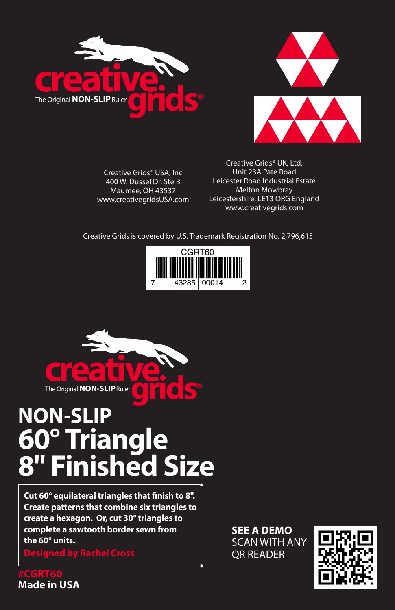



Creative Grids® USA, Inc 400 W. Dussel Dr. Ste B Maumee, OH 43537 www.creativegridsUSA.com

Creative Grids® UK, Ltd. Unit 23A Pate Road Leicester Road Industrial Estate Melton Mowbray Leicestershire, LE13 ORG England www.creativegrids.com

Creative Grids is covered by U.S. Trademark Registration No. 2,796,615





# **NON-SLIP 60° Triangle 8" Finished Size**

**Cut 60° equilateral triangles that finish to 8". Create patterns that combine six triangles to create a hexagon. Or, cut 30° triangles to complete a sawtooth border sewn from the 60° units.**

**SEE A DEMO** SCAN WITH ANY QR READER



**Made in USA**